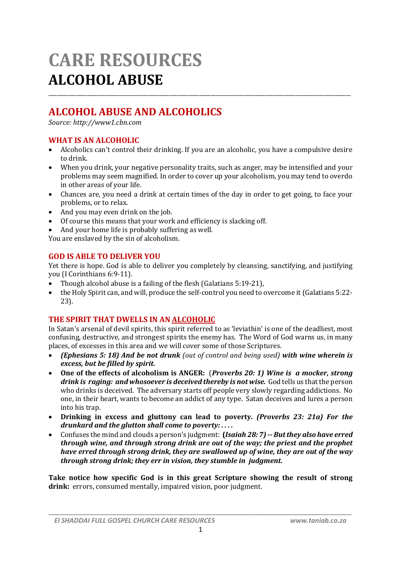# **CARE RESOURCES ALCOHOL ABUSE**

# **ALCOHOL ABUSE AND ALCOHOLICS**

*Source: http://www1.cbn.com*

# **WHAT IS AN ALCOHOLIC**

 Alcoholics can't control their drinking. If you are an alcoholic, you have a compulsive desire to drink.

\_\_\_\_\_\_\_\_\_\_\_\_\_\_\_\_\_\_\_\_\_\_\_\_\_\_\_\_\_\_\_\_\_\_\_\_\_\_\_\_\_\_\_\_\_\_\_\_\_\_\_\_\_\_\_\_\_\_\_\_\_\_\_\_\_\_\_\_\_\_\_\_\_\_\_\_\_\_\_\_\_\_\_\_\_\_\_\_\_\_\_\_\_\_\_\_\_\_\_\_\_\_\_\_\_\_\_\_\_\_

- When you drink, your negative personality traits, such as anger, may be intensified and your problems may seem magnified. In order to cover up your alcoholism, you may tend to overdo in other areas of your life.
- Chances are, you need a drink at certain times of the day in order to get going, to face your problems, or to relax.
- And you may even drink on the job.
- Of course this means that your work and efficiency is slacking off.
- And your home life is probably suffering as well.

You are enslaved by the sin of alcoholism.

# **GOD IS ABLE TO DELIVER YOU**

Yet there is hope. God is able to deliver you completely by cleansing, sanctifying, and justifying you (I Corinthians 6:9-11).

- Though alcohol abuse is a failing of the flesh (Galatians 5:19-21),
- the Holy Spirit can, and will, produce the self-control you need to overcome it (Galatians 5:22- 23).

# **THE SPIRIT THAT DWELLS IN AN ALCOHOLIC**

In Satan's arsenal of devil spirits, this spirit referred to as 'leviathin' is one of the deadliest, most confusing, destructive, and strongest spirits the enemy has. The Word of God warns us, in many places, of excesses in this area and we will cover some of those Scriptures.

- *(Ephesians 5: 18) And be not drunk (out of control and being used) with wine wherein is excess, but be filled by spirit.*
- **One of the effects of alcoholism is ANGER:** (*Proverbs 20: 1) Wine is a mocker, strong drink is raging: and whosoever is deceived thereby is not wise.* God tells us that the person who drinks is deceived. The adversary starts off people very slowly regarding addictions. No one, in their heart, wants to become an addict of any type. Satan deceives and lures a person into his trap.
- **Drinking in excess and gluttony can lead to poverty.** *(Proverbs 23: 21a) For the drunkard and the glutton shall come to poverty: . . . .*
- Confuses the mind and clouds a person's judgment: **(***Isaiah 28: 7) -- But they also have erred through wine, and through strong drink are out of the way; the priest and the prophet have erred through strong drink, they are swallowed up of wine, they are out of the way through strong drink; they err in vision, they stumble in judgment.*

**Take notice how specific God is in this great Scripture showing the result of strong drink:** errors, consumed mentally, impaired vision, poor judgment.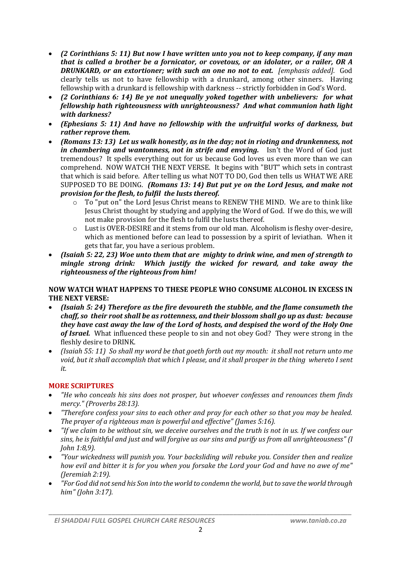- *(2 Corinthians 5: 11) But now I have written unto you not to keep company, if any man that is called a brother be a fornicator, or covetous, or an idolater, or a railer, OR A DRUNKARD, or an extortioner; with such an one no not to eat. [emphasis added].* God clearly tells us not to have fellowship with a drunkard, among other sinners. Having fellowship with a drunkard is fellowship with darkness -- strictly forbidden in God's Word.
- *(2 Corinthians 6: 14) Be ye not unequally yoked together with unbelievers: for what fellowship hath righteousness with unrighteousness? And what communion hath light with darkness?*
- *(Ephesians 5: 11) And have no fellowship with the unfruitful works of darkness, but rather reprove them.*
- *(Romans 13: 13) Let us walk honestly, as in the day; not in rioting and drunkenness, not in chambering and wantonness, not in strife and envying.* Isn't the Word of God just tremendous? It spells everything out for us because God loves us even more than we can comprehend. NOW WATCH THE NEXT VERSE. It begins with "BUT" which sets in contrast that which is said before. After telling us what NOT TO DO, God then tells us WHAT WE ARE SUPPOSED TO BE DOING. *(Romans 13: 14) But put ye on the Lord Jesus, and make not provision for the flesh, to fulfil the lusts thereof.*
	- o To "put on" the Lord Jesus Christ means to RENEW THE MIND. We are to think like Jesus Christ thought by studying and applying the Word of God. If we do this, we will not make provision for the flesh to fulfil the lusts thereof.
	- o Lust is OVER-DESIRE and it stems from our old man. Alcoholism is fleshy over-desire, which as mentioned before can lead to possession by a spirit of leviathan. When it gets that far, you have a serious problem.
- *(Isaiah 5: 22, 23) Woe unto them that are mighty to drink wine, and men of strength to mingle strong drink: Which justify the wicked for reward, and take away the righteousness of the righteous from him!*

#### **NOW WATCH WHAT HAPPENS TO THESE PEOPLE WHO CONSUME ALCOHOL IN EXCESS IN THE NEXT VERSE:**

- *(Isaiah 5: 24) Therefore as the fire devoureth the stubble, and the flame consumeth the chaff, so their root shall be as rottenness, and their blossom shall go up as dust: because they have cast away the law of the Lord of hosts, and despised the word of the Holy One of Israel.* What influenced these people to sin and not obey God? They were strong in the fleshly desire to DRINK.
- *(Isaiah 55: 11) So shall my word be that goeth forth out my mouth: it shall not return unto me void, but it shall accomplish that which I please, and it shall prosper in the thing whereto I sent it.*

#### **MORE SCRIPTURES**

- *"He who conceals his sins does not prosper, but whoever confesses and renounces them finds mercy." (Proverbs 28:13).*
- *"Therefore confess your sins to each other and pray for each other so that you may be healed. The prayer of a righteous man is powerful and effective" (James 5:16).*
- *"If we claim to be without sin, we deceive ourselves and the truth is not in us. If we confess our sins, he is faithful and just and will forgive us our sins and purify us from all unrighteousness" (I John 1:8,9).*
- *"Your wickedness will punish you. Your backsliding will rebuke you. Consider then and realize how evil and bitter it is for you when you forsake the Lord your God and have no awe of me" (Jeremiah 2:19).*
- *"For God did not send his Son into the world to condemn the world, but to save the world through him" (John 3:17).*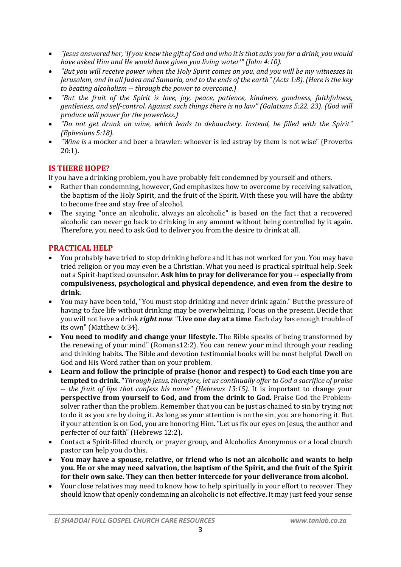- *"Jesus answered her, 'If you knew the gift of God and who it is that asks you for a drink, you would have asked Him and He would have given you living water'" (John 4:10).*
- *"But you will receive power when the Holy Spirit comes on you, and you will be my witnesses in Jerusalem, and in all Judea and Samaria, and to the ends of the earth" (Acts 1:8). (Here is the key to beating alcoholism -- through the power to overcome.)*
- *"But the fruit of the Spirit is love, joy, peace, patience, kindness, goodness, faithfulness, gentleness, and self-control. Against such things there is no law" (Galatians 5:22, 23). (God will produce will power for the powerless.)*
- *"Do not get drunk on wine, which leads to debauchery. Instead, be filled with the Spirit" (Ephesians 5:18).*
- *"Wine is* a mocker and beer a brawler: whoever is led astray by them is not wise" (Proverbs 20:1).

# **IS THERE HOPE?**

If you have a drinking problem, you have probably felt condemned by yourself and others.

- Rather than condemning, however, God emphasizes how to overcome by receiving salvation, the baptism of the Holy Spirit, and the fruit of the Spirit. With these you will have the ability to become free and stay free of alcohol.
- The saying "once an alcoholic, always an alcoholic" is based on the fact that a recovered alcoholic can never go back to drinking in any amount without being controlled by it again. Therefore, you need to ask God to deliver you from the desire to drink at all.

# **PRACTICAL HELP**

- You probably have tried to stop drinking before and it has not worked for you. You may have tried religion or you may even be a Christian. What you need is practical spiritual help. Seek out a Spirit-baptized counselor. **Ask him to pray for deliverance for you -- especially from compulsiveness, psychological and physical dependence, and even from the desire to drink**.
- You may have been told, "You must stop drinking and never drink again." But the pressure of having to face life without drinking may be overwhelming. Focus on the present. Decide that you will not have a drink *right now*. "**Live one day at a time**. Each day has enough trouble of its own" (Matthew 6:34).
- **You need to modify and change your lifestyle**. The Bible speaks of being transformed by the renewing of your mind" (Romans12:2). You can renew your mind through your reading and thinking habits. The Bible and devotion testimonial books will be most helpful. Dwell on God and His Word rather than on your problem.
- **Learn and follow the principle of praise (honor and respect) to God each time you are tempted to drink.** "*Through Jesus, therefore, let us continually offer to God a sacrifice of praise -- the fruit of lips that confess his name" (Hebrews 13:15).* It is important to change your **perspective from yourself to God, and from the drink to God**. Praise God the Problemsolver rather than the problem. Remember that you can be just as chained to sin by trying not to do it as you are by doing it. As long as your attention is on the sin, you are honoring it. But if your attention is on God, you are honoring Him. "Let us fix our eyes on Jesus, the author and perfecter of our faith" (Hebrews 12:2).
- Contact a Spirit-filled church, or prayer group, and Alcoholics Anonymous or a local church pastor can help you do this.
- **You may have a spouse, relative, or friend who is not an alcoholic and wants to help you. He or she may need salvation, the baptism of the Spirit, and the fruit of the Spirit for their own sake. They can then better intercede for your deliverance from alcohol.**
- Your close relatives may need to know how to help spiritually in your effort to recover. They should know that openly condemning an alcoholic is not effective. It may just feed your sense